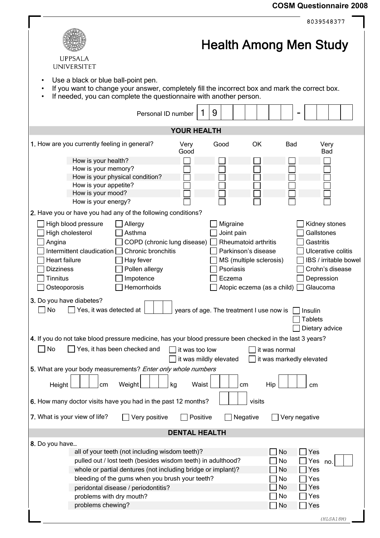## **COSM Questionnaire 2008**

|                                                                                                                                                                                                             | 8039548377                       |  |  |  |  |
|-------------------------------------------------------------------------------------------------------------------------------------------------------------------------------------------------------------|----------------------------------|--|--|--|--|
| <b>UPPSALA</b>                                                                                                                                                                                              | <b>Health Among Men Study</b>    |  |  |  |  |
| <b>UNIVERSITET</b>                                                                                                                                                                                          |                                  |  |  |  |  |
| Use a black or blue ball-point pen.<br>If you want to change your answer, completely fill the incorrect box and mark the correct box.<br>If needed, you can complete the questionnaire with another person. |                                  |  |  |  |  |
| 9<br>Personal ID number                                                                                                                                                                                     |                                  |  |  |  |  |
| <b>YOUR HEALTH</b>                                                                                                                                                                                          |                                  |  |  |  |  |
| 1. How are you currently feeling in general?<br><b>OK</b><br>Very<br>Good<br>Good                                                                                                                           | <b>Bad</b><br>Very<br><b>Bad</b> |  |  |  |  |
| How is your health?                                                                                                                                                                                         |                                  |  |  |  |  |
| How is your memory?                                                                                                                                                                                         |                                  |  |  |  |  |
| How is your physical condition?                                                                                                                                                                             |                                  |  |  |  |  |
| How is your appetite?                                                                                                                                                                                       |                                  |  |  |  |  |
| How is your mood?                                                                                                                                                                                           |                                  |  |  |  |  |
| How is your energy?                                                                                                                                                                                         |                                  |  |  |  |  |
| 2. Have you or have you had any of the following conditions?                                                                                                                                                |                                  |  |  |  |  |
| High blood pressure<br>Allergy<br>Migraine                                                                                                                                                                  | Kidney stones                    |  |  |  |  |
| High cholesterol<br>Asthma<br>Joint pain                                                                                                                                                                    | Gallstones                       |  |  |  |  |
| COPD (chronic lung disease)<br>Rheumatoid arthritis<br>Angina                                                                                                                                               | Gastritis                        |  |  |  |  |
| Intermittent claudication $\Box$<br>Chronic bronchitis<br>Parkinson's disease                                                                                                                               | Ulcerative colitis               |  |  |  |  |
| Heart failure<br>Hay fever<br>MS (multiple sclerosis)                                                                                                                                                       | IBS / irritable bowel            |  |  |  |  |
| <b>Dizziness</b><br>Pollen allergy<br>Psoriasis                                                                                                                                                             | Crohn's disease                  |  |  |  |  |
|                                                                                                                                                                                                             |                                  |  |  |  |  |
| <b>Tinnitus</b><br>Impotence<br>Eczema                                                                                                                                                                      | Depression                       |  |  |  |  |
| Hemorrhoids<br>Osteoporosis<br>Atopic eczema (as a child)                                                                                                                                                   | Glaucoma                         |  |  |  |  |
| 3. Do you have diabetes?<br>Yes, it was detected at<br>No<br>years of age. The treatment I use now is<br>Insulin<br><b>Tablets</b><br>Dietary advice                                                        |                                  |  |  |  |  |
| 4. If you do not take blood pressure medicine, has your blood pressure been checked in the last 3 years?                                                                                                    |                                  |  |  |  |  |
|                                                                                                                                                                                                             |                                  |  |  |  |  |
| Yes, it has been checked and<br>No<br>it was too low<br>it was normal                                                                                                                                       |                                  |  |  |  |  |
| it was mildly elevated<br>it was markedly elevated<br>5. What are your body measurements? Enter only whole numbers                                                                                          |                                  |  |  |  |  |
|                                                                                                                                                                                                             |                                  |  |  |  |  |
| Waist<br>Weight<br>kg<br>Height<br>cm<br>cm                                                                                                                                                                 | Hip<br>cm                        |  |  |  |  |
| 6. How many doctor visits have you had in the past 12 months?<br>visits                                                                                                                                     |                                  |  |  |  |  |
| 7. What is your view of life?<br>Very positive<br>Positive<br>Negative                                                                                                                                      | Very negative                    |  |  |  |  |
| <b>DENTAL HEALTH</b>                                                                                                                                                                                        |                                  |  |  |  |  |
| 8. Do you have                                                                                                                                                                                              |                                  |  |  |  |  |
| all of your teeth (not including wisdom teeth)?                                                                                                                                                             | No<br>Yes                        |  |  |  |  |
| pulled out / lost teeth (besides wisdom teeth) in adulthood?                                                                                                                                                | No<br>Yes<br>no.                 |  |  |  |  |
| whole or partial dentures (not including bridge or implant)?                                                                                                                                                | No<br>Yes                        |  |  |  |  |
| bleeding of the gums when you brush your teeth?                                                                                                                                                             | No<br>Yes                        |  |  |  |  |
| peridontal disease / periodontitis?                                                                                                                                                                         | No<br>Yes                        |  |  |  |  |
| problems with dry mouth?                                                                                                                                                                                    | No<br>Yes                        |  |  |  |  |
| problems chewing?                                                                                                                                                                                           | No<br>Yes                        |  |  |  |  |
|                                                                                                                                                                                                             | (HLSA18M)                        |  |  |  |  |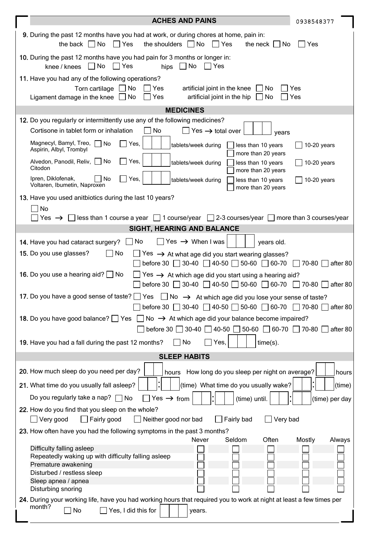|                                                                                                                                                                                                               | <b>ACHES AND PAINS</b>                                                                                                                                                                                | 0938548377       |  |  |  |
|---------------------------------------------------------------------------------------------------------------------------------------------------------------------------------------------------------------|-------------------------------------------------------------------------------------------------------------------------------------------------------------------------------------------------------|------------------|--|--|--|
|                                                                                                                                                                                                               | 9. During the past 12 months have you had at work, or during chores at home, pain in:<br>the back $\Box$ No<br>$\Box$ Yes<br>the shoulders $\Box$ No<br>$\vert$ Yes<br>the neck $\vert \ \vert$<br>No | Yes              |  |  |  |
|                                                                                                                                                                                                               | 10. During the past 12 months have you had pain for 3 months or longer in:<br>$\Box$ No<br>  Yes<br>  No<br>Yes<br>knee / knees<br>hips                                                               |                  |  |  |  |
|                                                                                                                                                                                                               | 11. Have you had any of the following operations?<br>$\Box$ No<br>Torn cartilage  <br>∣Yes<br>artificial joint in the knee<br>No                                                                      | Yes              |  |  |  |
|                                                                                                                                                                                                               | Ligament damage in the knee $\Box$ No<br>artificial joint in the hip<br>Yes<br>$\Box$ No                                                                                                              | Yes              |  |  |  |
|                                                                                                                                                                                                               | <b>MEDICINES</b>                                                                                                                                                                                      |                  |  |  |  |
|                                                                                                                                                                                                               | 12. Do you regularly or intermittently use any of the following medicines?                                                                                                                            |                  |  |  |  |
|                                                                                                                                                                                                               | No<br>Cortisone in tablet form or inhalation<br>Yes $\rightarrow$ total over<br>years                                                                                                                 |                  |  |  |  |
|                                                                                                                                                                                                               | Magnecyl, Bamyl, Treo, No<br>Yes,<br>tablets/week during<br>less than 10 years<br>Aspirin, Albyl, Trombyl<br>more than 20 years                                                                       | $10-20$ years    |  |  |  |
|                                                                                                                                                                                                               | Yes,<br>Alvedon, Panodil, Reliv,   No<br>tablets/week during<br>less than 10 years<br>Citodon<br>more than 20 years                                                                                   | $10-20$ years    |  |  |  |
|                                                                                                                                                                                                               | Ipren, Diklofenak,<br>No<br>Yes,<br>less than 10 years<br>tablets/week during<br>Voltaren, Ibumetin, Naproxen<br>more than 20 years                                                                   | $10-20$ years    |  |  |  |
|                                                                                                                                                                                                               | 13. Have you used anitbiotics during the last 10 years?                                                                                                                                               |                  |  |  |  |
|                                                                                                                                                                                                               | No                                                                                                                                                                                                    |                  |  |  |  |
|                                                                                                                                                                                                               | less than 1 course a year $\Box$ 1 course/year $\Box$ 2-3 courses/year $\Box$ more than 3 courses/year<br>Yes $\rightarrow$                                                                           |                  |  |  |  |
|                                                                                                                                                                                                               | SIGHT, HEARING AND BALANCE                                                                                                                                                                            |                  |  |  |  |
|                                                                                                                                                                                                               | No<br>$\forall$ es $\rightarrow$ When I was<br>14. Have you had cataract surgery?<br>years old.                                                                                                       |                  |  |  |  |
| $\Box$ No<br>15. Do you use glasses?<br>Yes $\rightarrow$ At what age did you start wearing glasses?<br>$50-60$<br>before 30 $\Box$ 30-40 $\Box$ 40-50 $\Box$<br>$\sqrt{60-70}$<br>$\sqrt{70-80}$<br>after 80 |                                                                                                                                                                                                       |                  |  |  |  |
| <b>16.</b> Do you use a hearing aid? $\Box$ No<br>Yes $\rightarrow$ At which age did you start using a hearing aid?<br>before 30 30-40 40-50 $50-60$ 60-70<br>$\Box$ 70-80<br>after 80                        |                                                                                                                                                                                                       |                  |  |  |  |
| 17. Do you have a good sense of taste? □ Yes □ No → At which age did you lose your sense of taste?<br>before 30 $\Box$ 30-40 $\Box$ 40-50 $\Box$ 50-60 $\Box$ 60-70 $\Box$ 70-80  <br>after 80                |                                                                                                                                                                                                       |                  |  |  |  |
|                                                                                                                                                                                                               | No $\rightarrow$ At which age did your balance become impaired?<br>18. Do you have good balance? Ses                                                                                                  |                  |  |  |  |
| $\Box$ 30-40 $\Box$ 40-50 $\Box$ 50-60 $\Box$ 60-70 $\Box$ 70-80<br>before $30$<br>after 80                                                                                                                   |                                                                                                                                                                                                       |                  |  |  |  |
| 19. Have you had a fall during the past 12 months?<br>No<br>Yes,<br>$time(s)$ .                                                                                                                               |                                                                                                                                                                                                       |                  |  |  |  |
|                                                                                                                                                                                                               | <b>SLEEP HABITS</b>                                                                                                                                                                                   |                  |  |  |  |
|                                                                                                                                                                                                               | 20. How much sleep do you need per day?<br>How long do you sleep per night on average?<br>hours                                                                                                       | hours            |  |  |  |
|                                                                                                                                                                                                               | 21. What time do you usually fall asleep?<br>(time) What time do you usually wake?                                                                                                                    | (time)           |  |  |  |
|                                                                                                                                                                                                               | Do you regularly take a nap? $\Box$ No<br>Yes $\rightarrow$ from<br>(time) until.                                                                                                                     | (time) per day   |  |  |  |
|                                                                                                                                                                                                               | 22. How do you find that you sleep on the whole?<br>Very good<br>Fairly good<br>Fairly bad<br>Very bad<br>Neither good nor bad                                                                        |                  |  |  |  |
|                                                                                                                                                                                                               | 23. How often have you had the following symptoms in the past 3 months?                                                                                                                               |                  |  |  |  |
|                                                                                                                                                                                                               | Often<br>Never<br>Seldom                                                                                                                                                                              | Mostly<br>Always |  |  |  |
|                                                                                                                                                                                                               | Difficulty falling asleep<br>Repeatedly waking up with difficulty falling asleep                                                                                                                      |                  |  |  |  |
|                                                                                                                                                                                                               | Premature awakening                                                                                                                                                                                   |                  |  |  |  |
|                                                                                                                                                                                                               | Disturbed / restless sleep                                                                                                                                                                            |                  |  |  |  |
|                                                                                                                                                                                                               | Sleep apnea / apnea<br>Disturbing snoring                                                                                                                                                             |                  |  |  |  |
|                                                                                                                                                                                                               | 24. During your working life, have you had working hours that required you to work at night at least a few times per                                                                                  |                  |  |  |  |
|                                                                                                                                                                                                               | month?<br>No<br>Yes, I did this for<br>years.                                                                                                                                                         |                  |  |  |  |
|                                                                                                                                                                                                               |                                                                                                                                                                                                       |                  |  |  |  |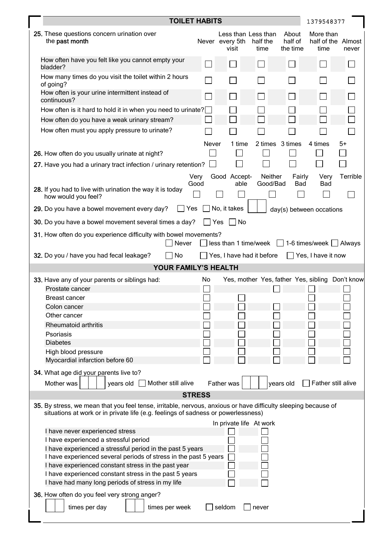|                                                                                                                                                                                                     | <b>TOILET HABITS</b>                                                             |              |                          |                                         | 1379548377                   |                                                 |          |
|-----------------------------------------------------------------------------------------------------------------------------------------------------------------------------------------------------|----------------------------------------------------------------------------------|--------------|--------------------------|-----------------------------------------|------------------------------|-------------------------------------------------|----------|
|                                                                                                                                                                                                     | 25. These questions concern urination over<br>the past month                     |              | Never every 5th<br>visit | Less than Less than<br>half the<br>time | About<br>half of<br>the time | More than<br>half of the Almost<br>time         | never    |
|                                                                                                                                                                                                     | How often have you felt like you cannot empty your<br>bladder?                   |              |                          |                                         |                              |                                                 |          |
|                                                                                                                                                                                                     | How many times do you visit the toilet within 2 hours<br>of going?               |              |                          |                                         |                              |                                                 |          |
|                                                                                                                                                                                                     | How often is your urine intermittent instead of<br>continuous?                   |              |                          |                                         |                              |                                                 |          |
|                                                                                                                                                                                                     | How often is it hard to hold it in when you need to urinate?                     |              |                          |                                         |                              |                                                 |          |
|                                                                                                                                                                                                     | How often do you have a weak urinary stream?                                     |              |                          |                                         |                              |                                                 |          |
|                                                                                                                                                                                                     | How often must you apply pressure to urinate?                                    | Never        | 1 time                   |                                         | 2 times 3 times              | 4 times                                         | 5+       |
|                                                                                                                                                                                                     | 26. How often do you usually urinate at night?                                   |              |                          |                                         |                              |                                                 |          |
|                                                                                                                                                                                                     |                                                                                  |              |                          |                                         |                              |                                                 |          |
|                                                                                                                                                                                                     | 27. Have you had a urinary tract infection / urinary retention?                  |              |                          |                                         |                              |                                                 |          |
|                                                                                                                                                                                                     |                                                                                  | Very<br>Good | Good Accept-<br>able     | Neither<br>Good/Bad                     | Fairly<br>Bad                | Very<br>Bad                                     | Terrible |
|                                                                                                                                                                                                     | 28. If you had to live with urination the way it is today<br>how would you feel? |              |                          |                                         |                              |                                                 |          |
|                                                                                                                                                                                                     | Yes<br>29. Do you have a bowel movement every day?                               |              | No, it takes             |                                         |                              | day(s) between occations                        |          |
|                                                                                                                                                                                                     | 30. Do you have a bowel movement several times a day?                            |              | No<br><b>Yes</b>         |                                         |                              |                                                 |          |
| 31. How often do you experience difficulty with bowel movements?<br>$less than 1 time/week \t 1-6 times/week \t $ Always<br>Never                                                                   |                                                                                  |              |                          |                                         |                              |                                                 |          |
| 32. Do you / have you had fecal leakage?<br>No<br>Yes, I have had it before<br>Yes, I have it now                                                                                                   |                                                                                  |              |                          |                                         |                              |                                                 |          |
| YOUR FAMILY'S HEALTH                                                                                                                                                                                |                                                                                  |              |                          |                                         |                              |                                                 |          |
|                                                                                                                                                                                                     | 33. Have any of your parents or siblings had:                                    | No           |                          |                                         |                              | Yes, mother Yes, father Yes, sibling Don't know |          |
|                                                                                                                                                                                                     | Prostate cancer                                                                  |              |                          |                                         |                              |                                                 |          |
|                                                                                                                                                                                                     | Breast cancer                                                                    |              |                          |                                         |                              |                                                 |          |
|                                                                                                                                                                                                     | Colon cancer                                                                     |              |                          |                                         |                              |                                                 |          |
|                                                                                                                                                                                                     | Other cancer                                                                     |              |                          |                                         |                              |                                                 |          |
|                                                                                                                                                                                                     | Rheumatoid arthritis                                                             |              |                          |                                         |                              |                                                 |          |
|                                                                                                                                                                                                     | Psoriasis<br><b>Diabetes</b>                                                     |              |                          |                                         |                              |                                                 |          |
|                                                                                                                                                                                                     | High blood pressure                                                              |              |                          |                                         |                              |                                                 |          |
|                                                                                                                                                                                                     | Myocardial infarction before 60                                                  |              |                          |                                         |                              |                                                 |          |
|                                                                                                                                                                                                     | 34. What age did your parents live to?                                           |              |                          |                                         |                              |                                                 |          |
|                                                                                                                                                                                                     | Mother was<br>Mother still alive<br>years old                                    |              | Father was               |                                         | years old                    | Father still alive                              |          |
| <b>STRESS</b>                                                                                                                                                                                       |                                                                                  |              |                          |                                         |                              |                                                 |          |
| 35. By stress, we mean that you feel tense, irritable, nervous, anxious or have difficulty sleeping because of<br>situations at work or in private life (e.g. feelings of sadness or powerlessness) |                                                                                  |              |                          |                                         |                              |                                                 |          |
|                                                                                                                                                                                                     | In private life At work                                                          |              |                          |                                         |                              |                                                 |          |
|                                                                                                                                                                                                     | I have never experienced stress                                                  |              |                          |                                         |                              |                                                 |          |
|                                                                                                                                                                                                     | I have experienced a stressful period                                            |              |                          |                                         |                              |                                                 |          |
| I have experienced a stressful period in the past 5 years<br>I have experienced several periods of stress in the past 5 years                                                                       |                                                                                  |              |                          |                                         |                              |                                                 |          |
|                                                                                                                                                                                                     | I have experienced constant stress in the past year                              |              |                          |                                         |                              |                                                 |          |
| I have experienced constant stress in the past 5 years                                                                                                                                              |                                                                                  |              |                          |                                         |                              |                                                 |          |
|                                                                                                                                                                                                     | I have had many long periods of stress in my life                                |              |                          |                                         |                              |                                                 |          |
|                                                                                                                                                                                                     | 36. How often do you feel very strong anger?<br>times per day<br>times per week  |              | seldom                   | never                                   |                              |                                                 |          |